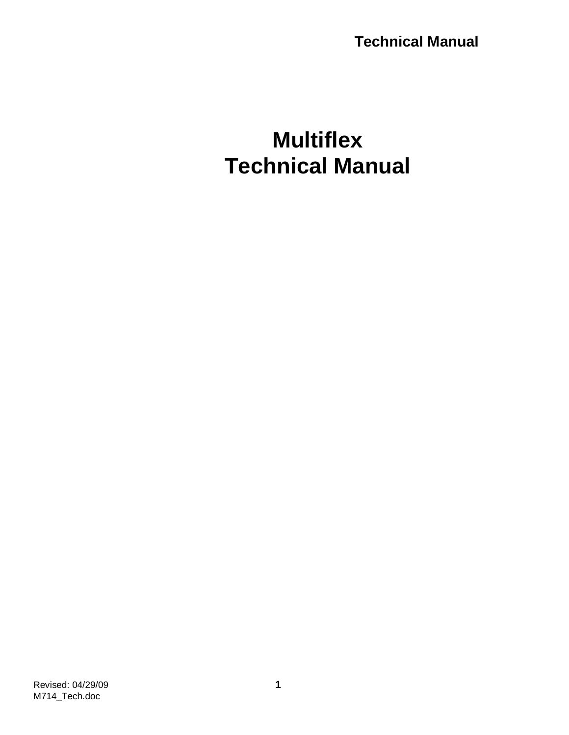# **Multiflex Technical Manual**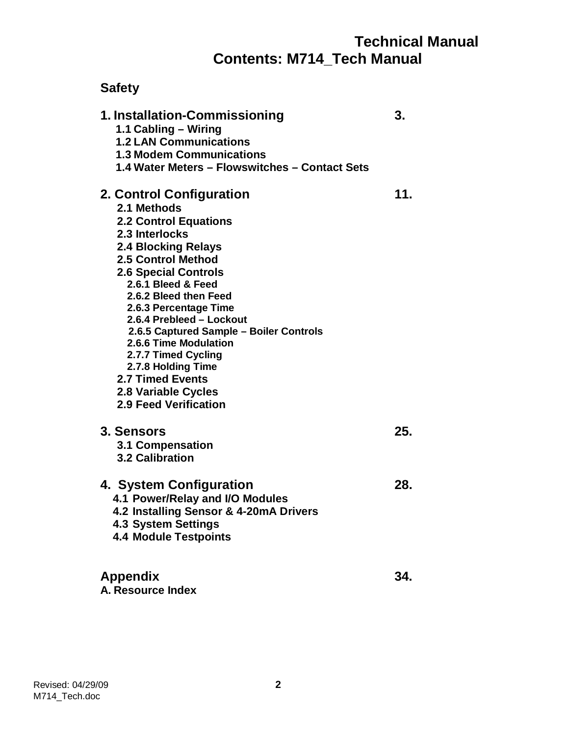## **Technical Manual Contents: M714\_Tech Manual**

## **Safety**

| 1. Installation-Commissioning<br>1.1 Cabling - Wiring<br><b>1.2 LAN Communications</b><br><b>1.3 Modem Communications</b><br>1.4 Water Meters - Flowswitches - Contact Sets                                                                                                                                                                                                                                                                                                  | 3.  |
|------------------------------------------------------------------------------------------------------------------------------------------------------------------------------------------------------------------------------------------------------------------------------------------------------------------------------------------------------------------------------------------------------------------------------------------------------------------------------|-----|
| 2. Control Configuration<br>2.1 Methods<br><b>2.2 Control Equations</b><br>2.3 Interlocks<br><b>2.4 Blocking Relays</b><br>2.5 Control Method<br><b>2.6 Special Controls</b><br>2.6.1 Bleed & Feed<br>2.6.2 Bleed then Feed<br>2.6.3 Percentage Time<br>2.6.4 Prebleed - Lockout<br>2.6.5 Captured Sample - Boiler Controls<br>2.6.6 Time Modulation<br>2.7.7 Timed Cycling<br>2.7.8 Holding Time<br><b>2.7 Timed Events</b><br>2.8 Variable Cycles<br>2.9 Feed Verification | 11. |
| 3. Sensors<br>3.1 Compensation<br><b>3.2 Calibration</b>                                                                                                                                                                                                                                                                                                                                                                                                                     | 25. |
| 4. System Configuration<br>4.1 Power/Relay and I/O Modules<br>4.2 Installing Sensor & 4-20mA Drivers<br>4.3 System Settings<br><b>4.4 Module Testpoints</b>                                                                                                                                                                                                                                                                                                                  | 28. |
| <b>Appendix</b><br>A. Resource Index                                                                                                                                                                                                                                                                                                                                                                                                                                         | 34. |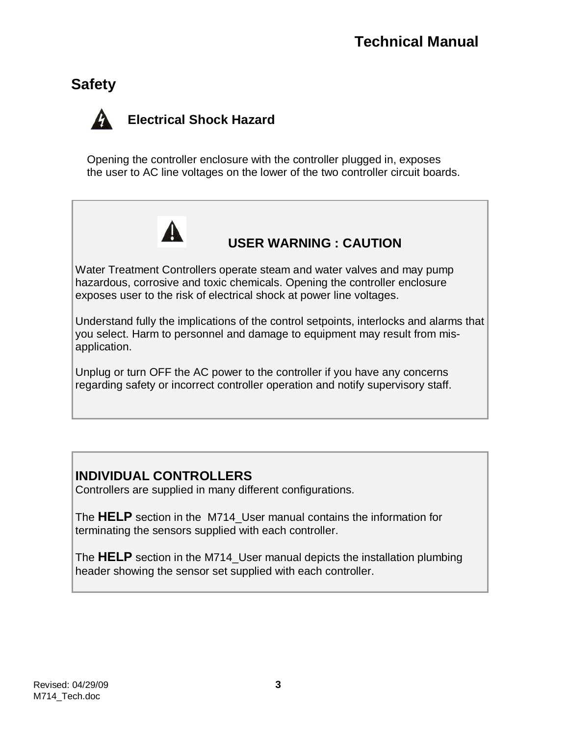## **Safety**

## **Electrical Shock Hazard**

Opening the controller enclosure with the controller plugged in, exposes the user to AC line voltages on the lower of the two controller circuit boards.



## **USER WARNING : CAUTION**

Water Treatment Controllers operate steam and water valves and may pump hazardous, corrosive and toxic chemicals. Opening the controller enclosure exposes user to the risk of electrical shock at power line voltages.

Understand fully the implications of the control setpoints, interlocks and alarms that you select. Harm to personnel and damage to equipment may result from misapplication.

Unplug or turn OFF the AC power to the controller if you have any concerns regarding safety or incorrect controller operation and notify supervisory staff.

## **INDIVIDUAL CONTROLLERS**

Controllers are supplied in many different configurations.

The **HELP** section in the M714\_User manual contains the information for terminating the sensors supplied with each controller.

The **HELP** section in the M714\_User manual depicts the installation plumbing header showing the sensor set supplied with each controller.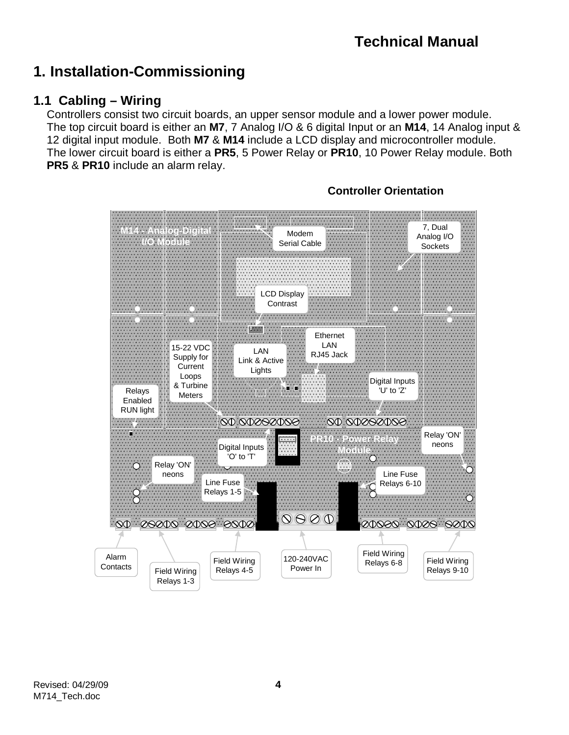## **1. Installation-Commissioning**

## **1.1 Cabling – Wiring**

Controllers consist two circuit boards, an upper sensor module and a lower power module. The top circuit board is either an **M7**, 7 Analog I/O & 6 digital Input or an **M14**, 14 Analog input & 12 digital input module. Both **M7** & **M14** include a LCD display and microcontroller module. The lower circuit board is either a **PR5**, 5 Power Relay or **PR10**, 10 Power Relay module. Both **PR5** & **PR10** include an alarm relay.



### **Controller Orientation**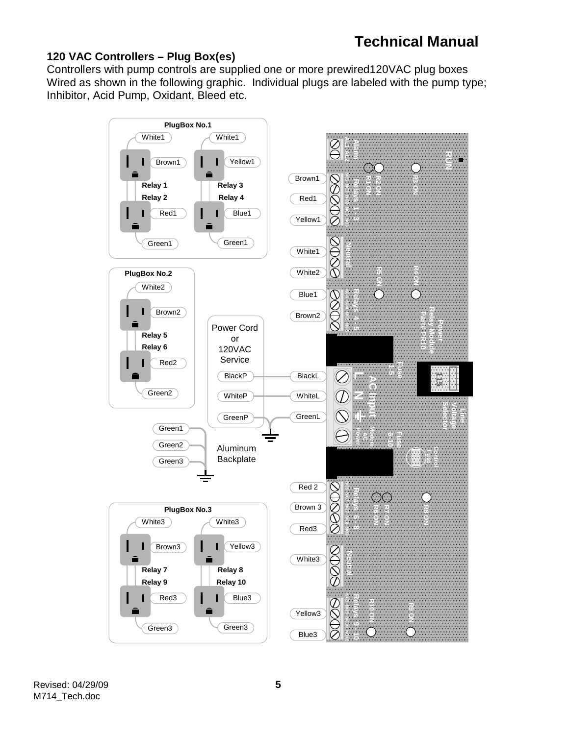#### **120 VAC Controllers – Plug Box(es)**

Controllers with pump controls are supplied one or more prewired120VAC plug boxes Wired as shown in the following graphic. Individual plugs are labeled with the pump type; Inhibitor, Acid Pump, Oxidant, Bleed etc.

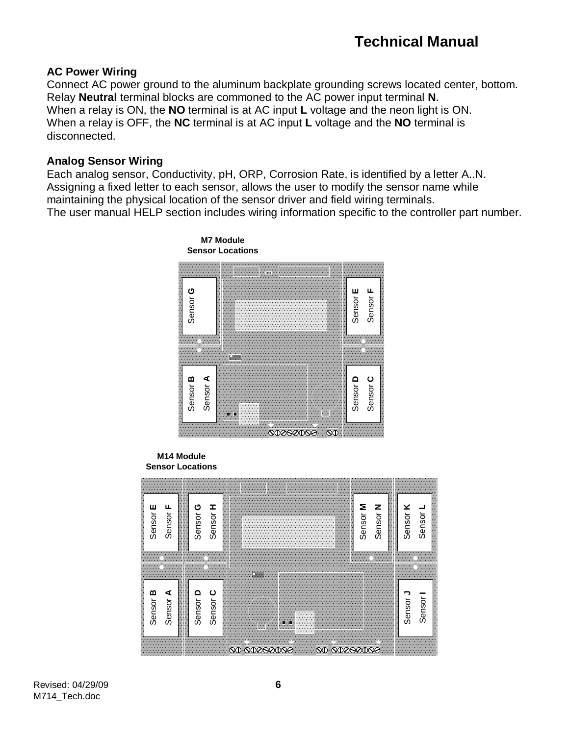#### **AC Power Wiring**

Connect AC power ground to the aluminum backplate grounding screws located center, bottom. Relay **Neutral** terminal blocks are commoned to the AC power input terminal **N**. When a relay is ON, the **NO** terminal is at AC input **L** voltage and the neon light is ON. When a relay is OFF, the **NC** terminal is at AC input **L** voltage and the **NO** terminal is disconnected.

#### **Analog Sensor Wiring**

Each analog sensor, Conductivity, pH, ORP, Corrosion Rate, is identified by a letter A..N. Assigning a fixed letter to each sensor, allows the user to modify the sensor name while maintaining the physical location of the sensor driver and field wiring terminals. The user manual HELP section includes wiring information specific to the controller part number.



#### **M14 Module Sensor Locations**

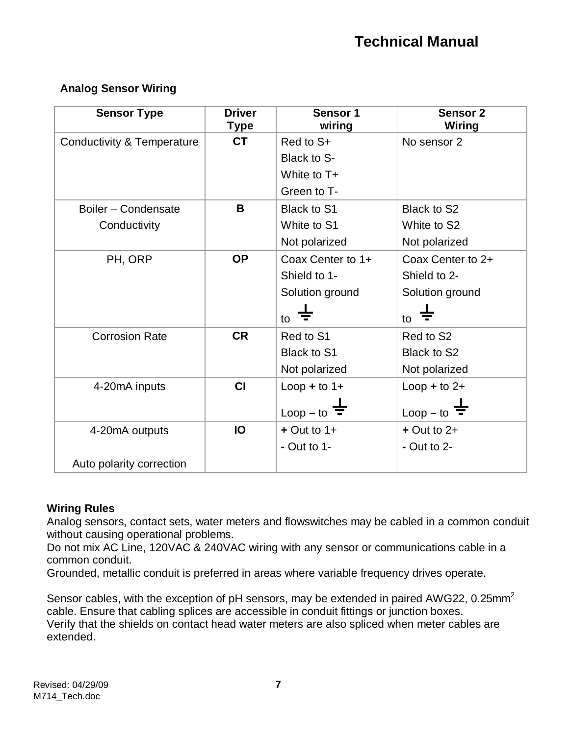#### **Analog Sensor Wiring**

| <b>Sensor Type</b>                    | <b>Driver</b><br><b>Type</b> | Sensor 1<br>wiring       | Sensor <sub>2</sub><br>Wiring |
|---------------------------------------|------------------------------|--------------------------|-------------------------------|
| <b>Conductivity &amp; Temperature</b> | <b>CT</b>                    | Red to S+                | No sensor 2                   |
|                                       |                              | Black to S-              |                               |
|                                       |                              | White to T+              |                               |
|                                       |                              | Green to T-              |                               |
| Boiler - Condensate                   | B                            | Black to S1              | Black to S2                   |
| Conductivity                          |                              | White to S1              | White to S2                   |
|                                       |                              | Not polarized            | Not polarized                 |
| PH, ORP                               | <b>OP</b>                    | Coax Center to 1+        | Coax Center to 2+             |
|                                       |                              | Shield to 1-             | Shield to 2-                  |
|                                       |                              | Solution ground          | Solution ground               |
|                                       |                              | to                       | to                            |
| <b>Corrosion Rate</b>                 | <b>CR</b>                    | Red to S1                | Red to S2                     |
|                                       |                              | Black to S1              | Black to S2                   |
|                                       |                              | Not polarized            | Not polarized                 |
| 4-20mA inputs                         | CI                           | $Loop + to 1+$           | $Loop + to 2+$                |
|                                       |                              | Loop – to $\overline{=}$ | $Loop - to$                   |
| 4-20mA outputs                        | IO                           | $+$ Out to 1+            | $+$ Out to 2+                 |
|                                       |                              | - Out to $1-$            | $-$ Out to 2-                 |
| Auto polarity correction              |                              |                          |                               |

#### **Wiring Rules**

Analog sensors, contact sets, water meters and flowswitches may be cabled in a common conduit without causing operational problems.

Do not mix AC Line, 120VAC & 240VAC wiring with any sensor or communications cable in a common conduit.

Grounded, metallic conduit is preferred in areas where variable frequency drives operate.

Sensor cables, with the exception of pH sensors, may be extended in paired AWG22, 0.25mm<sup>2</sup> cable. Ensure that cabling splices are accessible in conduit fittings or junction boxes. Verify that the shields on contact head water meters are also spliced when meter cables are extended.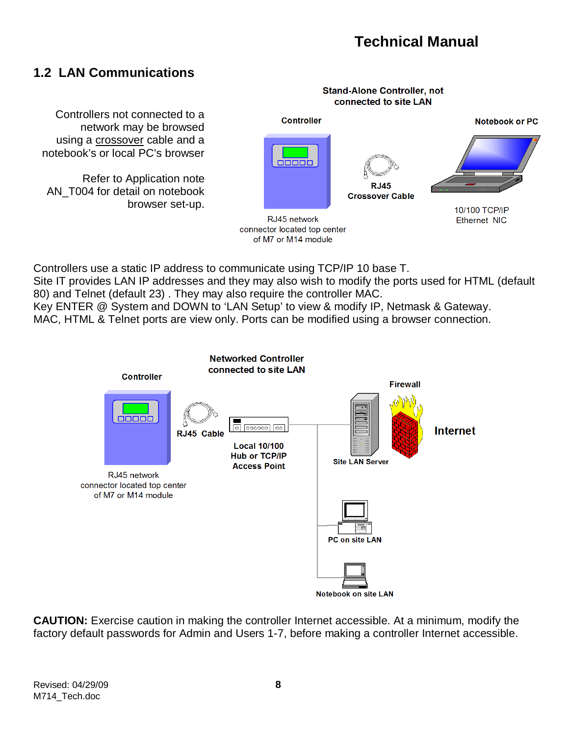## **1.2 LAN Communications**

**Stand-Alone Controller, not** connected to site LAN Controllers not connected to a **Controller Notebook or PC** network may be browsed using a crossover cable and a notebook's or local PC's browser  $\overline{00000}$ Refer to Application note **RJ45** AN\_T004 for detail on notebook **Crossover Cable** browser set-up. 10/100 TCP/IP RJ45 network Ethernet NIC connector located top center of M7 or M14 module

Controllers use a static IP address to communicate using TCP/IP 10 base T. Site IT provides LAN IP addresses and they may also wish to modify the ports used for HTML (default 80) and Telnet (default 23) . They may also require the controller MAC. Key ENTER @ System and DOWN to 'LAN Setup' to view & modify IP, Netmask & Gateway. MAC, HTML & Telnet ports are view only. Ports can be modified using a browser connection.



**CAUTION:** Exercise caution in making the controller Internet accessible. At a minimum, modify the factory default passwords for Admin and Users 1-7, before making a controller Internet accessible.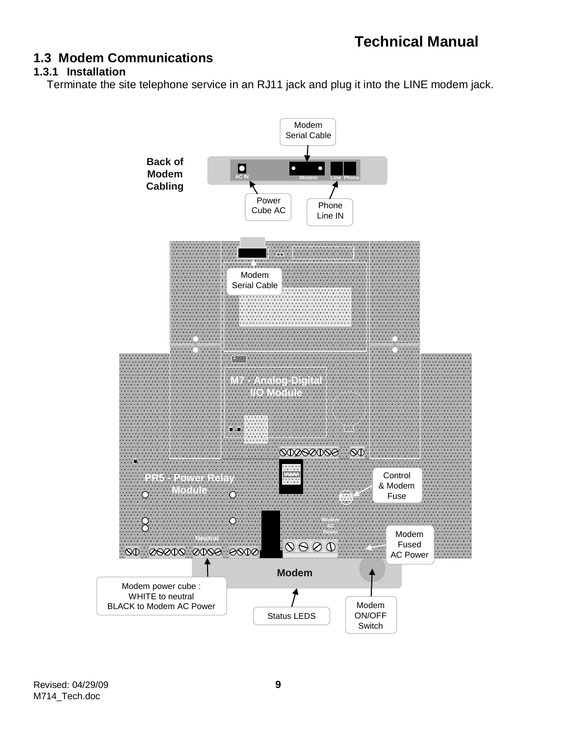## **1.3 Modem Communications**

#### **1.3.1 Installation**

Terminate the site telephone service in an RJ11 jack and plug it into the LINE modem jack.

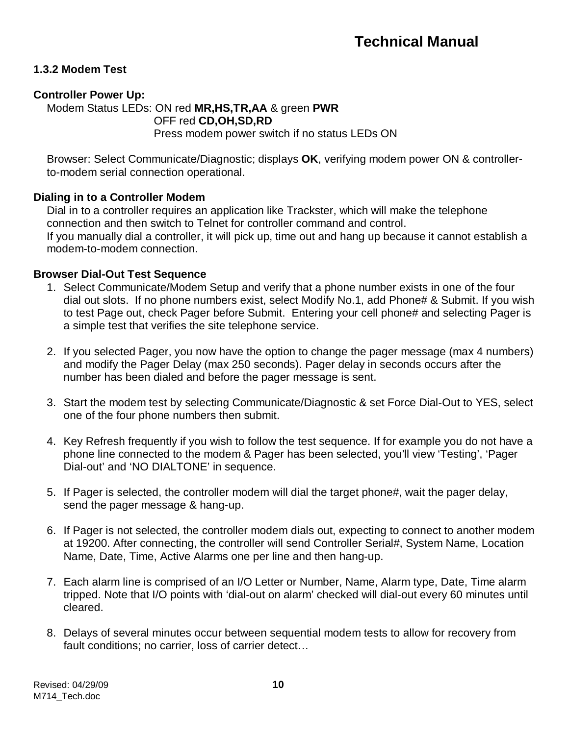#### **1.3.2 Modem Test**

#### **Controller Power Up:**

Modem Status LEDs: ON red **MR,HS,TR,AA** & green **PWR** OFF red **CD,OH,SD,RD** Press modem power switch if no status LEDs ON

Browser: Select Communicate/Diagnostic; displays **OK**, verifying modem power ON & controllerto-modem serial connection operational.

#### **Dialing in to a Controller Modem**

Dial in to a controller requires an application like Trackster, which will make the telephone connection and then switch to Telnet for controller command and control. If you manually dial a controller, it will pick up, time out and hang up because it cannot establish a modem-to-modem connection.

#### **Browser Dial-Out Test Sequence**

- 1. Select Communicate/Modem Setup and verify that a phone number exists in one of the four dial out slots. If no phone numbers exist, select Modify No.1, add Phone# & Submit. If you wish to test Page out, check Pager before Submit. Entering your cell phone# and selecting Pager is a simple test that verifies the site telephone service.
- 2. If you selected Pager, you now have the option to change the pager message (max 4 numbers) and modify the Pager Delay (max 250 seconds). Pager delay in seconds occurs after the number has been dialed and before the pager message is sent.
- 3. Start the modem test by selecting Communicate/Diagnostic & set Force Dial-Out to YES, select one of the four phone numbers then submit.
- 4. Key Refresh frequently if you wish to follow the test sequence. If for example you do not have a phone line connected to the modem & Pager has been selected, you'll view 'Testing', 'Pager Dial-out' and 'NO DIALTONE' in sequence.
- 5. If Pager is selected, the controller modem will dial the target phone#, wait the pager delay, send the pager message & hang-up.
- 6. If Pager is not selected, the controller modem dials out, expecting to connect to another modem at 19200. After connecting, the controller will send Controller Serial#, System Name, Location Name, Date, Time, Active Alarms one per line and then hang-up.
- 7. Each alarm line is comprised of an I/O Letter or Number, Name, Alarm type, Date, Time alarm tripped. Note that I/O points with 'dial-out on alarm' checked will dial-out every 60 minutes until cleared.
- 8. Delays of several minutes occur between sequential modem tests to allow for recovery from fault conditions; no carrier, loss of carrier detect…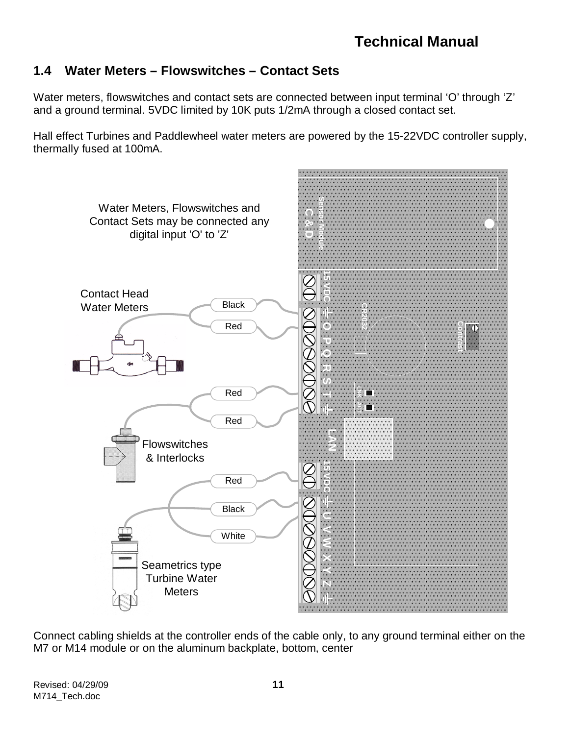## **1.4 Water Meters – Flowswitches – Contact Sets**

Water meters, flowswitches and contact sets are connected between input terminal 'O' through 'Z' and a ground terminal. 5VDC limited by 10K puts 1/2mA through a closed contact set.

Hall effect Turbines and Paddlewheel water meters are powered by the 15-22VDC controller supply, thermally fused at 100mA.



Connect cabling shields at the controller ends of the cable only, to any ground terminal either on the M7 or M14 module or on the aluminum backplate, bottom, center

Revised: 04/29/09 **11** M714\_Tech.doc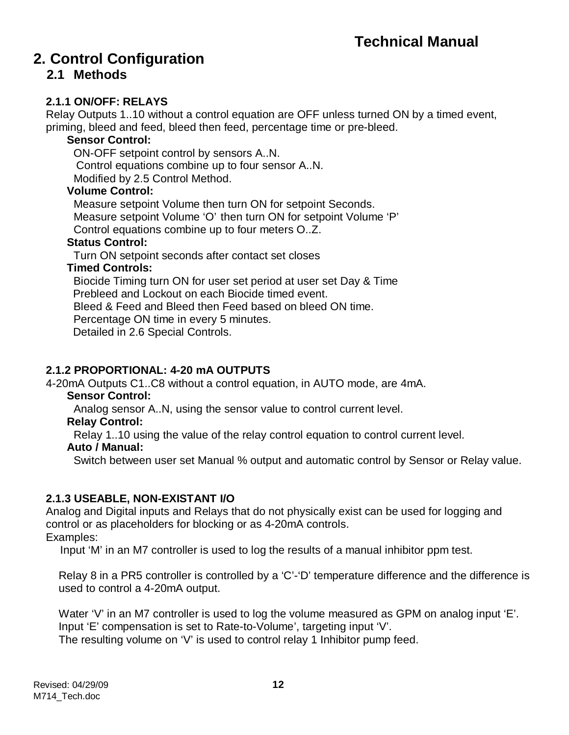## **2. Control Configuration**

## **2.1 Methods**

#### **2.1.1 ON/OFF: RELAYS**

Relay Outputs 1..10 without a control equation are OFF unless turned ON by a timed event, priming, bleed and feed, bleed then feed, percentage time or pre-bleed.

#### **Sensor Control:**

ON-OFF setpoint control by sensors A..N. Control equations combine up to four sensor A..N. Modified by 2.5 Control Method.

#### **Volume Control:**

Measure setpoint Volume then turn ON for setpoint Seconds. Measure setpoint Volume 'O' then turn ON for setpoint Volume 'P' Control equations combine up to four meters O..Z.

#### **Status Control:**

Turn ON setpoint seconds after contact set closes

#### **Timed Controls:**

Biocide Timing turn ON for user set period at user set Day & Time Prebleed and Lockout on each Biocide timed event. Bleed & Feed and Bleed then Feed based on bleed ON time. Percentage ON time in every 5 minutes. Detailed in 2.6 Special Controls.

#### **2.1.2 PROPORTIONAL: 4-20 mA OUTPUTS**

4-20mA Outputs C1..C8 without a control equation, in AUTO mode, are 4mA.

#### **Sensor Control:**

Analog sensor A..N, using the sensor value to control current level.

#### **Relay Control:**

Relay 1..10 using the value of the relay control equation to control current level.

#### **Auto / Manual:**

Switch between user set Manual % output and automatic control by Sensor or Relay value.

#### **2.1.3 USEABLE, NON-EXISTANT I/O**

Analog and Digital inputs and Relays that do not physically exist can be used for logging and control or as placeholders for blocking or as 4-20mA controls. Examples:

Input 'M' in an M7 controller is used to log the results of a manual inhibitor ppm test.

Relay 8 in a PR5 controller is controlled by a 'C'-'D' temperature difference and the difference is used to control a 4-20mA output.

Water 'V' in an M7 controller is used to log the volume measured as GPM on analog input 'E'. Input 'E' compensation is set to Rate-to-Volume', targeting input 'V'. The resulting volume on 'V' is used to control relay 1 Inhibitor pump feed.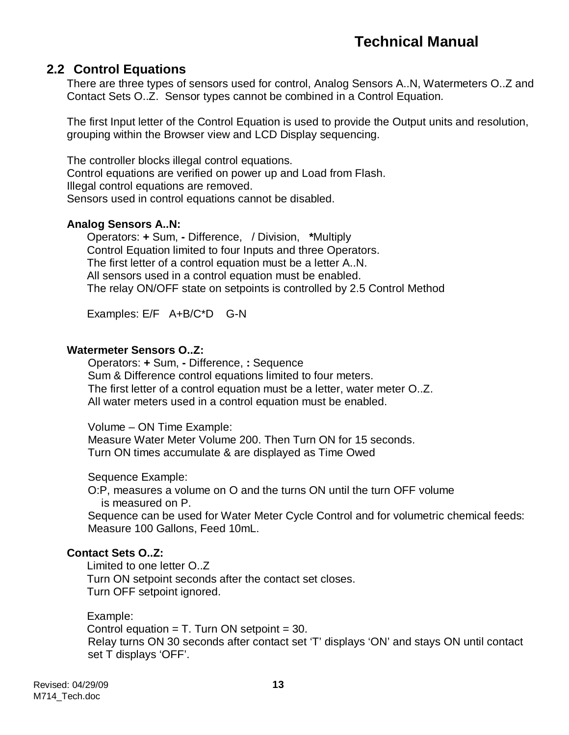### **2.2 Control Equations**

There are three types of sensors used for control, Analog Sensors A..N, Watermeters O..Z and Contact Sets O..Z. Sensor types cannot be combined in a Control Equation.

The first Input letter of the Control Equation is used to provide the Output units and resolution, grouping within the Browser view and LCD Display sequencing.

The controller blocks illegal control equations. Control equations are verified on power up and Load from Flash. Illegal control equations are removed. Sensors used in control equations cannot be disabled.

#### **Analog Sensors A..N:**

Operators: **+** Sum, **-** Difference, / Division, **\***Multiply Control Equation limited to four Inputs and three Operators. The first letter of a control equation must be a letter A..N. All sensors used in a control equation must be enabled. The relay ON/OFF state on setpoints is controlled by 2.5 Control Method

Examples: E/F A+B/C\*D G-N

#### **Watermeter Sensors O..Z:**

Operators: **+** Sum, **-** Difference, **:** Sequence Sum & Difference control equations limited to four meters. The first letter of a control equation must be a letter, water meter O..Z. All water meters used in a control equation must be enabled.

Volume – ON Time Example:

Measure Water Meter Volume 200. Then Turn ON for 15 seconds. Turn ON times accumulate & are displayed as Time Owed

Sequence Example:

O:P, measures a volume on O and the turns ON until the turn OFF volume is measured on P.

Sequence can be used for Water Meter Cycle Control and for volumetric chemical feeds: Measure 100 Gallons, Feed 10mL.

#### **Contact Sets O..Z:**

Limited to one letter O..Z Turn ON setpoint seconds after the contact set closes. Turn OFF setpoint ignored.

#### Example:

Control equation  $= T$ . Turn ON setpoint  $= 30$ . Relay turns ON 30 seconds after contact set 'T' displays 'ON' and stays ON until contact set T displays 'OFF'.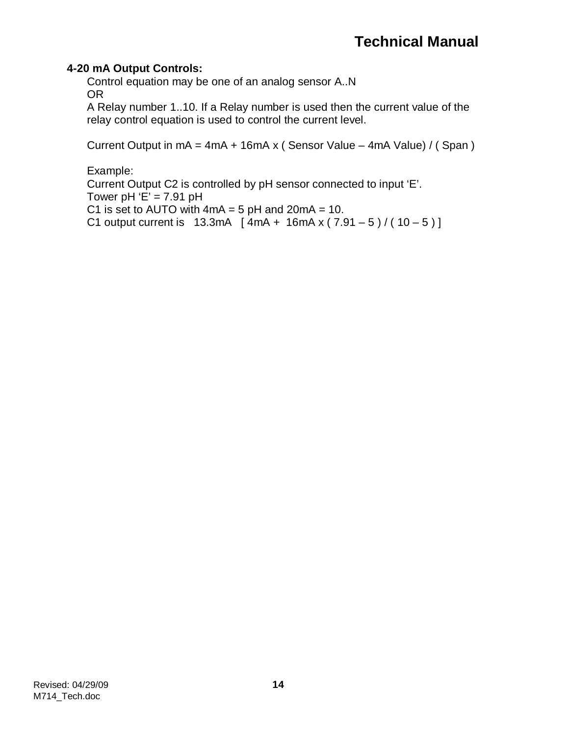#### **4-20 mA Output Controls:**

Control equation may be one of an analog sensor A..N OR

A Relay number 1..10. If a Relay number is used then the current value of the relay control equation is used to control the current level.

Current Output in  $mA = 4mA + 16mA \times (Sensor Value - 4mA Value) / (Span)$ 

Example:

Current Output C2 is controlled by pH sensor connected to input 'E'. Tower pH  $E' = 7.91$  pH C1 is set to AUTO with  $4mA = 5 pH$  and  $20mA = 10$ . C1 output current is  $13.3 \text{mA}$  [  $4 \text{mA}$  +  $16 \text{mA}$  x (  $7.91 - 5$  ) / ( $10 - 5$  )]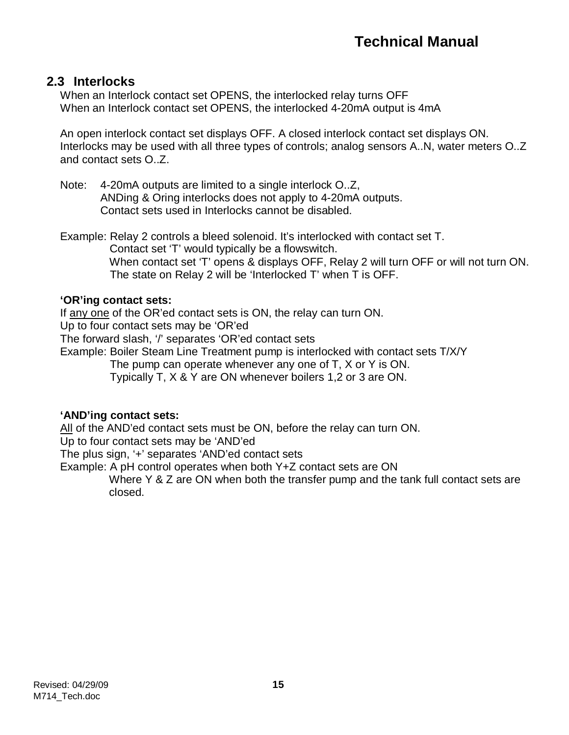### **2.3 Interlocks**

When an Interlock contact set OPENS, the interlocked relay turns OFF When an Interlock contact set OPENS, the interlocked 4-20mA output is 4mA

An open interlock contact set displays OFF. A closed interlock contact set displays ON. Interlocks may be used with all three types of controls; analog sensors A..N, water meters O..Z and contact sets O..Z.

Note: 4-20mA outputs are limited to a single interlock O..Z, ANDing & Oring interlocks does not apply to 4-20mA outputs. Contact sets used in Interlocks cannot be disabled.

Example: Relay 2 controls a bleed solenoid. It's interlocked with contact set T. Contact set 'T' would typically be a flowswitch. When contact set 'T' opens & displays OFF, Relay 2 will turn OFF or will not turn ON. The state on Relay 2 will be 'Interlocked T' when T is OFF.

#### **'OR'ing contact sets:**

If any one of the OR'ed contact sets is ON, the relay can turn ON.

Up to four contact sets may be 'OR'ed

The forward slash, '/' separates 'OR'ed contact sets

Example: Boiler Steam Line Treatment pump is interlocked with contact sets T/X/Y

The pump can operate whenever any one of T, X or Y is ON.

Typically T, X & Y are ON whenever boilers 1,2 or 3 are ON.

#### **'AND'ing contact sets:**

All of the AND'ed contact sets must be ON, before the relay can turn ON.

Up to four contact sets may be 'AND'ed

The plus sign, '+' separates 'AND'ed contact sets

Example: A pH control operates when both Y+Z contact sets are ON

Where Y & Z are ON when both the transfer pump and the tank full contact sets are closed.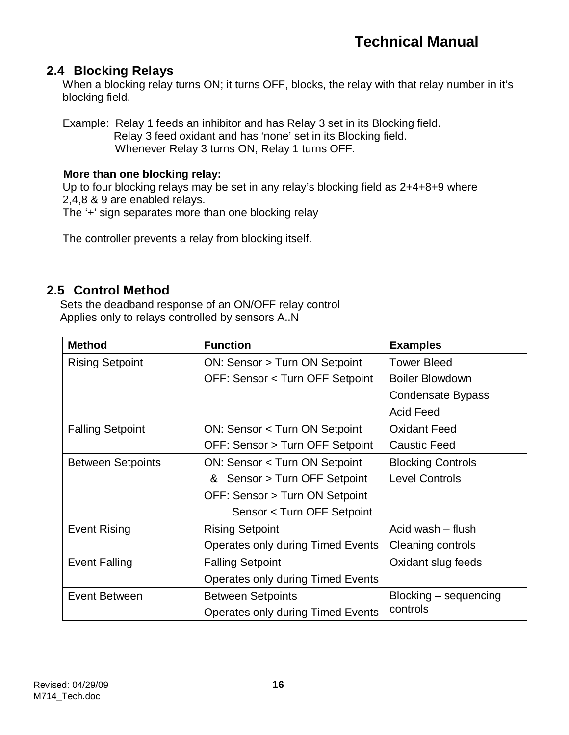### **2.4 Blocking Relays**

When a blocking relay turns ON; it turns OFF, blocks, the relay with that relay number in it's blocking field.

Example: Relay 1 feeds an inhibitor and has Relay 3 set in its Blocking field. Relay 3 feed oxidant and has 'none' set in its Blocking field. Whenever Relay 3 turns ON, Relay 1 turns OFF.

#### **More than one blocking relay:**

Up to four blocking relays may be set in any relay's blocking field as 2+4+8+9 where 2,4,8 & 9 are enabled relays.

The '+' sign separates more than one blocking relay

The controller prevents a relay from blocking itself.

### **2.5 Control Method**

Sets the deadband response of an ON/OFF relay control Applies only to relays controlled by sensors A..N

| <b>Method</b>            | <b>Function</b>                          | <b>Examples</b>          |
|--------------------------|------------------------------------------|--------------------------|
| <b>Rising Setpoint</b>   | ON: Sensor > Turn ON Setpoint            | <b>Tower Bleed</b>       |
|                          | OFF: Sensor < Turn OFF Setpoint          | <b>Boiler Blowdown</b>   |
|                          |                                          | <b>Condensate Bypass</b> |
|                          |                                          | <b>Acid Feed</b>         |
| <b>Falling Setpoint</b>  | ON: Sensor < Turn ON Setpoint            | <b>Oxidant Feed</b>      |
|                          | OFF: Sensor > Turn OFF Setpoint          | <b>Caustic Feed</b>      |
| <b>Between Setpoints</b> | <b>ON: Sensor &lt; Turn ON Setpoint</b>  | <b>Blocking Controls</b> |
|                          | & Sensor > Turn OFF Setpoint             | <b>Level Controls</b>    |
|                          | OFF: Sensor > Turn ON Setpoint           |                          |
|                          | Sensor < Turn OFF Setpoint               |                          |
| <b>Event Rising</b>      | <b>Rising Setpoint</b>                   | Acid wash – flush        |
|                          | Operates only during Timed Events        | Cleaning controls        |
| <b>Event Falling</b>     | <b>Falling Setpoint</b>                  | Oxidant slug feeds       |
|                          | <b>Operates only during Timed Events</b> |                          |
| <b>Event Between</b>     | <b>Between Setpoints</b>                 | Blocking – sequencing    |
|                          | Operates only during Timed Events        | controls                 |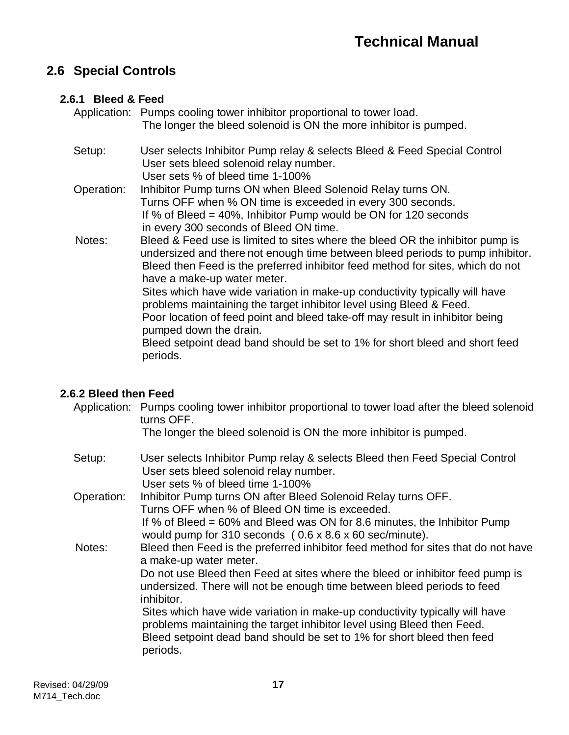## **2.6 Special Controls**

### **2.6.1 Bleed & Feed**

|            | Application: Pumps cooling tower inhibitor proportional to tower load.<br>The longer the bleed solenoid is ON the more inhibitor is pumped.                                                                                                                                                                                                                                                                                                                                                                                                                                                                                                |
|------------|--------------------------------------------------------------------------------------------------------------------------------------------------------------------------------------------------------------------------------------------------------------------------------------------------------------------------------------------------------------------------------------------------------------------------------------------------------------------------------------------------------------------------------------------------------------------------------------------------------------------------------------------|
| Setup:     | User selects Inhibitor Pump relay & selects Bleed & Feed Special Control<br>User sets bleed solenoid relay number.<br>User sets % of bleed time 1-100%                                                                                                                                                                                                                                                                                                                                                                                                                                                                                     |
| Operation: | Inhibitor Pump turns ON when Bleed Solenoid Relay turns ON.<br>Turns OFF when % ON time is exceeded in every 300 seconds.<br>If % of Bleed $=$ 40%, Inhibitor Pump would be ON for 120 seconds<br>in every 300 seconds of Bleed ON time.                                                                                                                                                                                                                                                                                                                                                                                                   |
| Notes:     | Bleed & Feed use is limited to sites where the bleed OR the inhibitor pump is<br>undersized and there not enough time between bleed periods to pump inhibitor.<br>Bleed then Feed is the preferred inhibitor feed method for sites, which do not<br>have a make-up water meter.<br>Sites which have wide variation in make-up conductivity typically will have<br>problems maintaining the target inhibitor level using Bleed & Feed.<br>Poor location of feed point and bleed take-off may result in inhibitor being<br>pumped down the drain.<br>Bleed setpoint dead band should be set to 1% for short bleed and short feed<br>periods. |

### **2.6.2 Bleed then Feed**

| Application: Pumps cooling tower inhibitor proportional to tower load after the bleed solenoid |
|------------------------------------------------------------------------------------------------|
| turns OFF.                                                                                     |

The longer the bleed solenoid is ON the more inhibitor is pumped.

| Setup:     | User selects Inhibitor Pump relay & selects Bleed then Feed Special Control<br>User sets bleed solenoid relay number.<br>User sets % of bleed time 1-100%                             |
|------------|---------------------------------------------------------------------------------------------------------------------------------------------------------------------------------------|
| Operation: | Inhibitor Pump turns ON after Bleed Solenoid Relay turns OFF.                                                                                                                         |
|            | Turns OFF when % of Bleed ON time is exceeded.<br>If % of Bleed = 60% and Bleed was ON for 8.6 minutes, the Inhibitor Pump<br>would pump for 310 seconds (0.6 x 8.6 x 60 sec/minute). |
| Notes:     | Bleed then Feed is the preferred inhibitor feed method for sites that do not have<br>a make-up water meter.                                                                           |
|            | Do not use Bleed then Feed at sites where the bleed or inhibitor feed pump is<br>undersized. There will not be enough time between bleed periods to feed<br>inhibitor.                |
|            | Sites which have wide variation in make-up conductivity typically will have<br>problems maintaining the target inhibitor level using Bleed then Feed.                                 |
|            | Bleed setpoint dead band should be set to 1% for short bleed then feed<br>periods.                                                                                                    |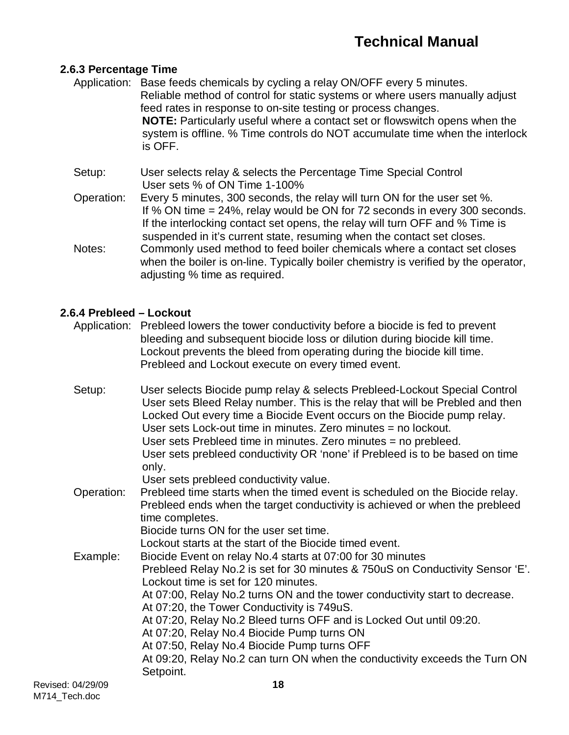#### **2.6.3 Percentage Time**

- Application: Base feeds chemicals by cycling a relay ON/OFF every 5 minutes. Reliable method of control for static systems or where users manually adjust feed rates in response to on-site testing or process changes. **NOTE:** Particularly useful where a contact set or flowswitch opens when the system is offline. % Time controls do NOT accumulate time when the interlock is OFF.
- Setup: User selects relay & selects the Percentage Time Special Control User sets % of ON Time 1-100%
- Operation: Every 5 minutes, 300 seconds, the relay will turn ON for the user set %. If % ON time = 24%, relay would be ON for 72 seconds in every 300 seconds. If the interlocking contact set opens, the relay will turn OFF and % Time is suspended in it's current state, resuming when the contact set closes.
- Notes: Commonly used method to feed boiler chemicals where a contact set closes when the boiler is on-line. Typically boiler chemistry is verified by the operator, adjusting % time as required.

#### **2.6.4 Prebleed – Lockout**

- Application: Prebleed lowers the tower conductivity before a biocide is fed to prevent bleeding and subsequent biocide loss or dilution during biocide kill time. Lockout prevents the bleed from operating during the biocide kill time. Prebleed and Lockout execute on every timed event.
- Revised: 04/29/09 **18** Setup: User selects Biocide pump relay & selects Prebleed-Lockout Special Control User sets Bleed Relay number. This is the relay that will be Prebled and then Locked Out every time a Biocide Event occurs on the Biocide pump relay. User sets Lock-out time in minutes. Zero minutes = no lockout. User sets Prebleed time in minutes. Zero minutes = no prebleed. User sets prebleed conductivity OR 'none' if Prebleed is to be based on time only. User sets prebleed conductivity value. Operation: Prebleed time starts when the timed event is scheduled on the Biocide relay. Prebleed ends when the target conductivity is achieved or when the prebleed time completes. Biocide turns ON for the user set time. Lockout starts at the start of the Biocide timed event. Example: Biocide Event on relay No.4 starts at 07:00 for 30 minutes Prebleed Relay No.2 is set for 30 minutes & 750uS on Conductivity Sensor 'E'. Lockout time is set for 120 minutes. At 07:00, Relay No.2 turns ON and the tower conductivity start to decrease. At 07:20, the Tower Conductivity is 749uS. At 07:20, Relay No.2 Bleed turns OFF and is Locked Out until 09:20. At 07:20, Relay No.4 Biocide Pump turns ON At 07:50, Relay No.4 Biocide Pump turns OFF At 09:20, Relay No.2 can turn ON when the conductivity exceeds the Turn ON Setpoint.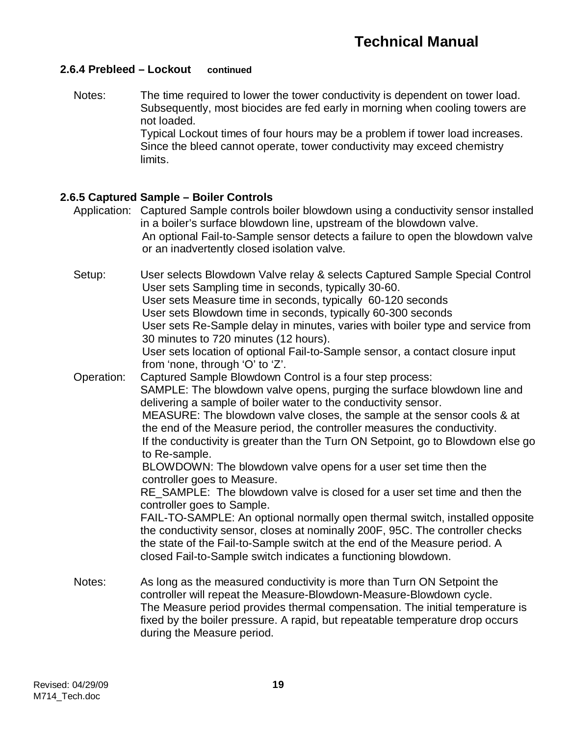#### **2.6.4 Prebleed – Lockout continued**

Notes: The time required to lower the tower conductivity is dependent on tower load. Subsequently, most biocides are fed early in morning when cooling towers are not loaded. Typical Lockout times of four hours may be a problem if tower load increases. Since the bleed cannot operate, tower conductivity may exceed chemistry limits.

#### **2.6.5 Captured Sample – Boiler Controls**

- Application: Captured Sample controls boiler blowdown using a conductivity sensor installed in a boiler's surface blowdown line, upstream of the blowdown valve. An optional Fail-to-Sample sensor detects a failure to open the blowdown valve or an inadvertently closed isolation valve.
- Setup: User selects Blowdown Valve relay & selects Captured Sample Special Control User sets Sampling time in seconds, typically 30-60. User sets Measure time in seconds, typically 60-120 seconds User sets Blowdown time in seconds, typically 60-300 seconds User sets Re-Sample delay in minutes, varies with boiler type and service from 30 minutes to 720 minutes (12 hours). User sets location of optional Fail-to-Sample sensor, a contact closure input from 'none, through 'O' to 'Z'. Operation: Captured Sample Blowdown Control is a four step process: SAMPLE: The blowdown valve opens, purging the surface blowdown line and delivering a sample of boiler water to the conductivity sensor. MEASURE: The blowdown valve closes, the sample at the sensor cools & at the end of the Measure period, the controller measures the conductivity. If the conductivity is greater than the Turn ON Setpoint, go to Blowdown else go to Re-sample. BLOWDOWN: The blowdown valve opens for a user set time then the controller goes to Measure. RE\_SAMPLE: The blowdown valve is closed for a user set time and then the controller goes to Sample. FAIL-TO-SAMPLE: An optional normally open thermal switch, installed opposite the conductivity sensor, closes at nominally 200F, 95C. The controller checks the state of the Fail-to-Sample switch at the end of the Measure period. A closed Fail-to-Sample switch indicates a functioning blowdown. Notes: As long as the measured conductivity is more than Turn ON Setpoint the controller will repeat the Measure-Blowdown-Measure-Blowdown cycle. The Measure period provides thermal compensation. The initial temperature is fixed by the boiler pressure. A rapid, but repeatable temperature drop occurs during the Measure period.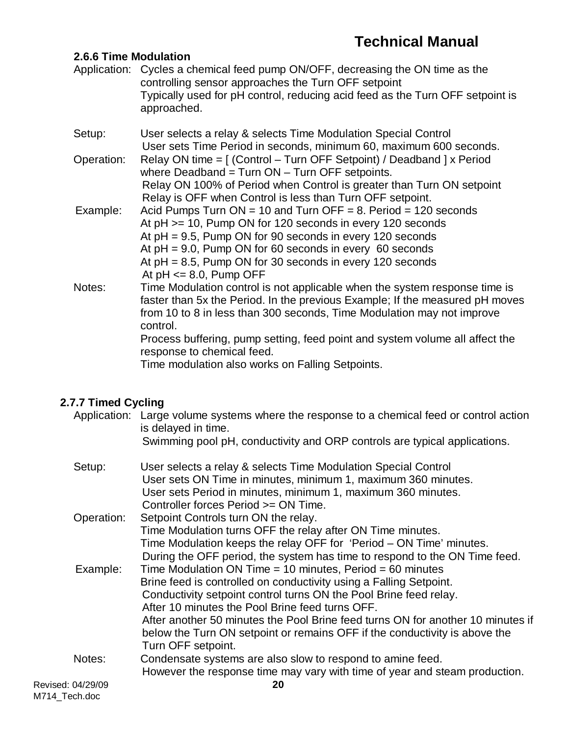#### **2.6.6 Time Modulation**

- Application: Cycles a chemical feed pump ON/OFF, decreasing the ON time as the controlling sensor approaches the Turn OFF setpoint Typically used for pH control, reducing acid feed as the Turn OFF setpoint is approached.
- Setup: User selects a relay & selects Time Modulation Special Control User sets Time Period in seconds, minimum 60, maximum 600 seconds. Operation: Relay ON time = [ (Control – Turn OFF Setpoint) / Deadband ] x Period

where Deadband =  $Turn ON - Turn OFF$  setpoints. Relay ON 100% of Period when Control is greater than Turn ON setpoint Relay is OFF when Control is less than Turn OFF setpoint.

- Example: Acid Pumps Turn  $ON = 10$  and Turn OFF = 8. Period = 120 seconds At pH >= 10, Pump ON for 120 seconds in every 120 seconds At pH = 9.5, Pump ON for 90 seconds in every 120 seconds At  $pH = 9.0$ , Pump ON for 60 seconds in every 60 seconds At  $pH = 8.5$ . Pump ON for 30 seconds in every 120 seconds At  $pH \le 8.0$ , Pump OFF
- Notes: Time Modulation control is not applicable when the system response time is faster than 5x the Period. In the previous Example; If the measured pH moves from 10 to 8 in less than 300 seconds, Time Modulation may not improve control.

Process buffering, pump setting, feed point and system volume all affect the response to chemical feed.

Time modulation also works on Falling Setpoints.

### **2.7.7 Timed Cycling**

| Revised: 04/29/09 | However the response time may vary with time of year and steam production.<br>20                                                                                                                                |
|-------------------|-----------------------------------------------------------------------------------------------------------------------------------------------------------------------------------------------------------------|
| Notes:            | Condensate systems are also slow to respond to amine feed.                                                                                                                                                      |
|                   | below the Turn ON setpoint or remains OFF if the conductivity is above the<br>Turn OFF setpoint.                                                                                                                |
|                   | Conductivity setpoint control turns ON the Pool Brine feed relay.<br>After 10 minutes the Pool Brine feed turns OFF.<br>After another 50 minutes the Pool Brine feed turns ON for another 10 minutes if         |
| Example:          | Time Modulation ON Time = 10 minutes, Period = 60 minutes<br>Brine feed is controlled on conductivity using a Falling Setpoint.                                                                                 |
|                   | Time Modulation turns OFF the relay after ON Time minutes.<br>Time Modulation keeps the relay OFF for 'Period - ON Time' minutes.<br>During the OFF period, the system has time to respond to the ON Time feed. |
| Operation:        | Controller forces Period >= ON Time.<br>Setpoint Controls turn ON the relay.                                                                                                                                    |
| Setup:            | User selects a relay & selects Time Modulation Special Control<br>User sets ON Time in minutes, minimum 1, maximum 360 minutes.<br>User sets Period in minutes, minimum 1, maximum 360 minutes.                 |
|                   | Application: Large volume systems where the response to a chemical feed or control action<br>is delayed in time.<br>Swimming pool pH, conductivity and ORP controls are typical applications.                   |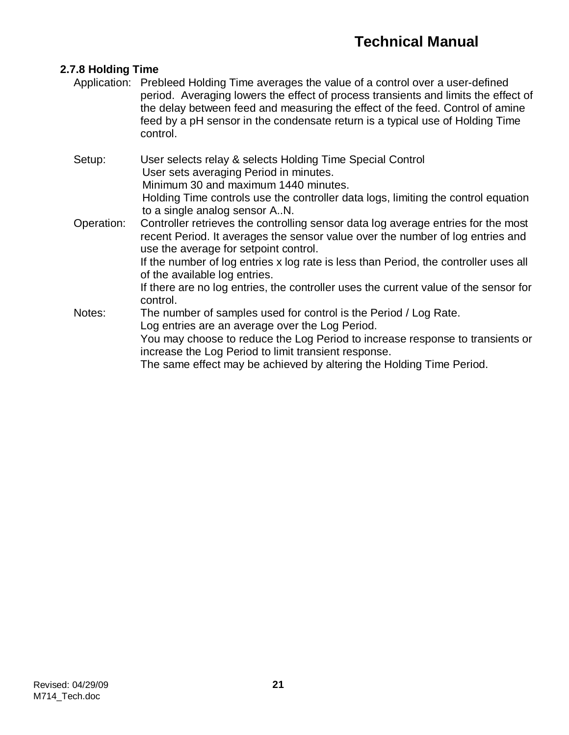#### **2.7.8 Holding Time**

- Application: Prebleed Holding Time averages the value of a control over a user-defined period. Averaging lowers the effect of process transients and limits the effect of the delay between feed and measuring the effect of the feed. Control of amine feed by a pH sensor in the condensate return is a typical use of Holding Time control.
- Setup: User selects relay & selects Holding Time Special Control User sets averaging Period in minutes. Minimum 30 and maximum 1440 minutes. Holding Time controls use the controller data logs, limiting the control equation to a single analog sensor A..N.
- Operation: Controller retrieves the controlling sensor data log average entries for the most recent Period. It averages the sensor value over the number of log entries and use the average for setpoint control.

If the number of log entries x log rate is less than Period, the controller uses all of the available log entries.

If there are no log entries, the controller uses the current value of the sensor for control.

Notes: The number of samples used for control is the Period / Log Rate. Log entries are an average over the Log Period. You may choose to reduce the Log Period to increase response to transients or increase the Log Period to limit transient response.

The same effect may be achieved by altering the Holding Time Period.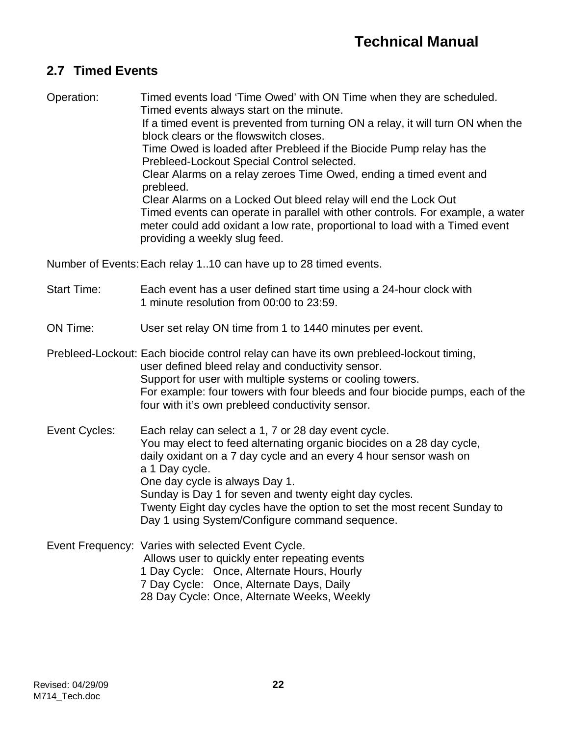## **2.7 Timed Events**

Operation: Timed events load 'Time Owed' with ON Time when they are scheduled. Timed events always start on the minute.

> If a timed event is prevented from turning ON a relay, it will turn ON when the block clears or the flowswitch closes.

Time Owed is loaded after Prebleed if the Biocide Pump relay has the Prebleed-Lockout Special Control selected.

Clear Alarms on a relay zeroes Time Owed, ending a timed event and prebleed.

Clear Alarms on a Locked Out bleed relay will end the Lock Out Timed events can operate in parallel with other controls. For example, a water meter could add oxidant a low rate, proportional to load with a Timed event providing a weekly slug feed.

Number of Events:Each relay 1..10 can have up to 28 timed events.

- Start Time: Each event has a user defined start time using a 24-hour clock with 1 minute resolution from 00:00 to 23:59.
- ON Time: User set relay ON time from 1 to 1440 minutes per event.

Prebleed-Lockout: Each biocide control relay can have its own prebleed-lockout timing, user defined bleed relay and conductivity sensor. Support for user with multiple systems or cooling towers. For example: four towers with four bleeds and four biocide pumps, each of the four with it's own prebleed conductivity sensor.

Event Cycles: Each relay can select a 1, 7 or 28 day event cycle. You may elect to feed alternating organic biocides on a 28 day cycle, daily oxidant on a 7 day cycle and an every 4 hour sensor wash on a 1 Day cycle. One day cycle is always Day 1. Sunday is Day 1 for seven and twenty eight day cycles. Twenty Eight day cycles have the option to set the most recent Sunday to Day 1 using System/Configure command sequence.

Event Frequency: Varies with selected Event Cycle. Allows user to quickly enter repeating events 1 Day Cycle: Once, Alternate Hours, Hourly 7 Day Cycle: Once, Alternate Days, Daily 28 Day Cycle: Once, Alternate Weeks, Weekly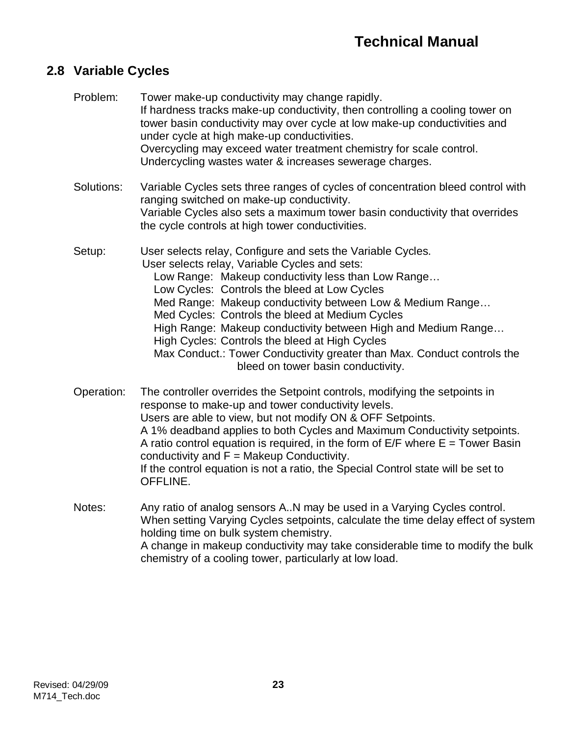### **2.8 Variable Cycles**

| Problem:   | Tower make-up conductivity may change rapidly.<br>If hardness tracks make-up conductivity, then controlling a cooling tower on<br>tower basin conductivity may over cycle at low make-up conductivities and<br>under cycle at high make-up conductivities.<br>Overcycling may exceed water treatment chemistry for scale control.<br>Undercycling wastes water & increases sewerage charges.                                                                                                                                                                           |
|------------|------------------------------------------------------------------------------------------------------------------------------------------------------------------------------------------------------------------------------------------------------------------------------------------------------------------------------------------------------------------------------------------------------------------------------------------------------------------------------------------------------------------------------------------------------------------------|
| Solutions: | Variable Cycles sets three ranges of cycles of concentration bleed control with<br>ranging switched on make-up conductivity.<br>Variable Cycles also sets a maximum tower basin conductivity that overrides<br>the cycle controls at high tower conductivities.                                                                                                                                                                                                                                                                                                        |
| Setup:     | User selects relay, Configure and sets the Variable Cycles.<br>User selects relay, Variable Cycles and sets:<br>Low Range: Makeup conductivity less than Low Range<br>Low Cycles: Controls the bleed at Low Cycles<br>Med Range: Makeup conductivity between Low & Medium Range<br>Med Cycles: Controls the bleed at Medium Cycles<br>High Range: Makeup conductivity between High and Medium Range<br>High Cycles: Controls the bleed at High Cycles<br>Max Conduct.: Tower Conductivity greater than Max. Conduct controls the<br>bleed on tower basin conductivity. |
| Operation: | The controller overrides the Setpoint controls, modifying the setpoints in<br>response to make-up and tower conductivity levels.<br>Users are able to view, but not modify ON & OFF Setpoints.<br>A 1% deadband applies to both Cycles and Maximum Conductivity setpoints.<br>A ratio control equation is required, in the form of $E/F$ where $E =$ Tower Basin                                                                                                                                                                                                       |

If the control equation is not a ratio, the Special Control state will be set to

When setting Varying Cycles setpoints, calculate the time delay effect of system

A change in makeup conductivity may take considerable time to modify the bulk

Notes: Any ratio of analog sensors A..N may be used in a Varying Cycles control.

chemistry of a cooling tower, particularly at low load.

conductivity and  $F = M$ akeup Conductivity.

holding time on bulk system chemistry.

OFFLINE.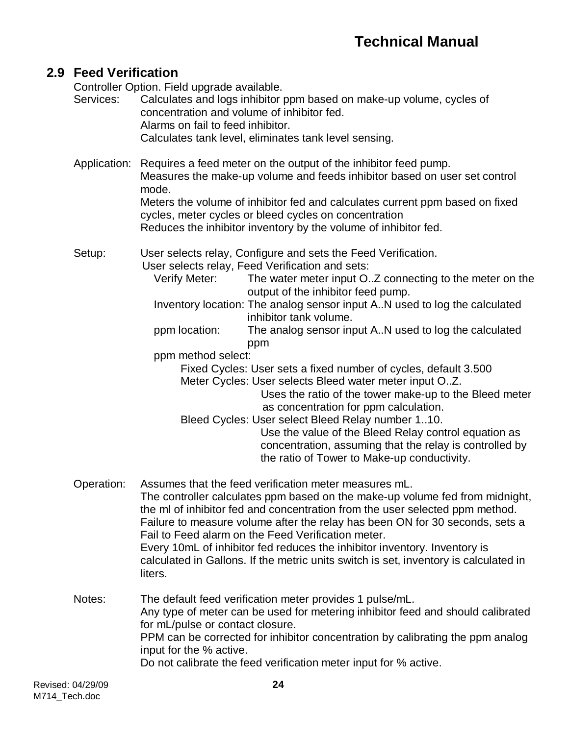## **2.9 Feed Verification**

Controller Option. Field upgrade available.

| Services:    | Calculates and logs inhibitor ppm based on make-up volume, cycles of<br>concentration and volume of inhibitor fed.<br>Alarms on fail to feed inhibitor.<br>Calculates tank level, eliminates tank level sensing.                                                                                                                                                                                                                                                                                                                                                                                                                                                                                                                                                                                                                                                                                           |  |  |
|--------------|------------------------------------------------------------------------------------------------------------------------------------------------------------------------------------------------------------------------------------------------------------------------------------------------------------------------------------------------------------------------------------------------------------------------------------------------------------------------------------------------------------------------------------------------------------------------------------------------------------------------------------------------------------------------------------------------------------------------------------------------------------------------------------------------------------------------------------------------------------------------------------------------------------|--|--|
| Application: | Requires a feed meter on the output of the inhibitor feed pump.<br>Measures the make-up volume and feeds inhibitor based on user set control<br>mode.                                                                                                                                                                                                                                                                                                                                                                                                                                                                                                                                                                                                                                                                                                                                                      |  |  |
|              | Meters the volume of inhibitor fed and calculates current ppm based on fixed<br>cycles, meter cycles or bleed cycles on concentration<br>Reduces the inhibitor inventory by the volume of inhibitor fed.                                                                                                                                                                                                                                                                                                                                                                                                                                                                                                                                                                                                                                                                                                   |  |  |
| Setup:       | User selects relay, Configure and sets the Feed Verification.<br>User selects relay, Feed Verification and sets:<br>Verify Meter:<br>The water meter input OZ connecting to the meter on the<br>output of the inhibitor feed pump.<br>Inventory location: The analog sensor input A. N used to log the calculated<br>inhibitor tank volume.<br>The analog sensor input AN used to log the calculated<br>ppm location:<br>ppm<br>ppm method select:<br>Fixed Cycles: User sets a fixed number of cycles, default 3.500<br>Meter Cycles: User selects Bleed water meter input O.Z.<br>Uses the ratio of the tower make-up to the Bleed meter<br>as concentration for ppm calculation.<br>Bleed Cycles: User select Bleed Relay number 110.<br>Use the value of the Bleed Relay control equation as<br>concentration, assuming that the relay is controlled by<br>the ratio of Tower to Make-up conductivity. |  |  |
| Operation:   | Assumes that the feed verification meter measures mL.<br>The controller calculates ppm based on the make-up volume fed from midnight,<br>the ml of inhibitor fed and concentration from the user selected ppm method.<br>Failure to measure volume after the relay has been ON for 30 seconds, sets a<br>Fail to Feed alarm on the Feed Verification meter.<br>Every 10mL of inhibitor fed reduces the inhibitor inventory. Inventory is<br>calculated in Gallons. If the metric units switch is set, inventory is calculated in<br>liters.                                                                                                                                                                                                                                                                                                                                                                |  |  |
| Notes:       | The default feed verification meter provides 1 pulse/mL.<br>Any type of meter can be used for metering inhibitor feed and should calibrated<br>for mL/pulse or contact closure.<br>PPM can be corrected for inhibitor concentration by calibrating the ppm analog<br>input for the % active.<br>Do not calibrate the feed verification meter input for % active.                                                                                                                                                                                                                                                                                                                                                                                                                                                                                                                                           |  |  |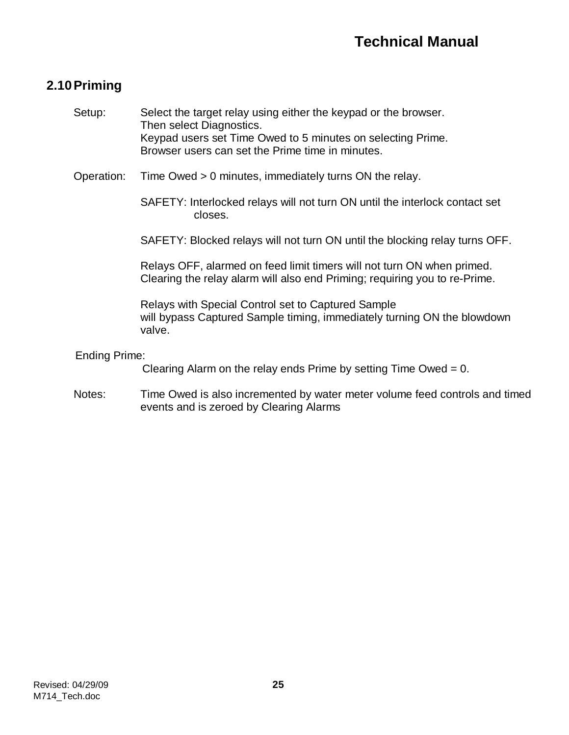## **2.10Priming**

| Setup:               | Select the target relay using either the keypad or the browser.<br>Then select Diagnostics.<br>Keypad users set Time Owed to 5 minutes on selecting Prime. |
|----------------------|------------------------------------------------------------------------------------------------------------------------------------------------------------|
|                      | Browser users can set the Prime time in minutes.                                                                                                           |
| Operation:           | Time Owed > 0 minutes, immediately turns ON the relay.                                                                                                     |
|                      | SAFETY: Interlocked relays will not turn ON until the interlock contact set<br>closes.                                                                     |
|                      | SAFETY: Blocked relays will not turn ON until the blocking relay turns OFF.                                                                                |
|                      | Relays OFF, alarmed on feed limit timers will not turn ON when primed.<br>Clearing the relay alarm will also end Priming; requiring you to re-Prime.       |
|                      | Relays with Special Control set to Captured Sample<br>will bypass Captured Sample timing, immediately turning ON the blowdown<br>valve.                    |
| <b>Ending Prime:</b> |                                                                                                                                                            |
|                      | Clearing Alarm on the relay ends Prime by setting Time Owed = $0$ .                                                                                        |
| Notes:               | Time Owed is also incremented by water meter volume feed controls and timed<br>events and is zeroed by Clearing Alarms                                     |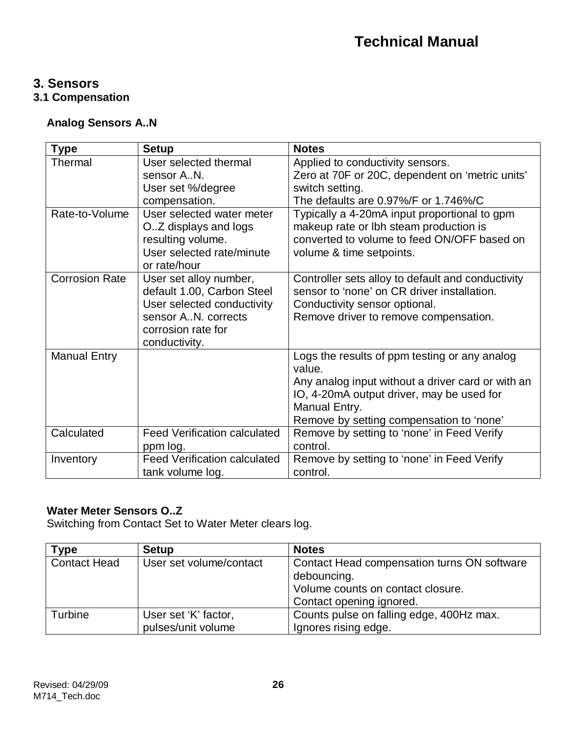### **3. Sensors**

**3.1 Compensation**

### **Analog Sensors A..N**

| <b>Type</b>           | <b>Setup</b>                                                                                                                                     | <b>Notes</b>                                                                                                                                                                                                           |
|-----------------------|--------------------------------------------------------------------------------------------------------------------------------------------------|------------------------------------------------------------------------------------------------------------------------------------------------------------------------------------------------------------------------|
| Thermal               | User selected thermal                                                                                                                            | Applied to conductivity sensors.                                                                                                                                                                                       |
|                       | sensor AN.                                                                                                                                       | Zero at 70F or 20C, dependent on 'metric units'                                                                                                                                                                        |
|                       | User set %/degree                                                                                                                                | switch setting.                                                                                                                                                                                                        |
|                       | compensation.                                                                                                                                    | The defaults are 0.97%/F or 1.746%/C                                                                                                                                                                                   |
| Rate-to-Volume        | User selected water meter<br>O.Z displays and logs<br>resulting volume.<br>User selected rate/minute<br>or rate/hour                             | Typically a 4-20mA input proportional to gpm<br>makeup rate or lbh steam production is<br>converted to volume to feed ON/OFF based on<br>volume & time setpoints.                                                      |
| <b>Corrosion Rate</b> | User set alloy number,<br>default 1.00, Carbon Steel<br>User selected conductivity<br>sensor AN. corrects<br>corrosion rate for<br>conductivity. | Controller sets alloy to default and conductivity<br>sensor to 'none' on CR driver installation.<br>Conductivity sensor optional.<br>Remove driver to remove compensation.                                             |
| <b>Manual Entry</b>   |                                                                                                                                                  | Logs the results of ppm testing or any analog<br>value.<br>Any analog input without a driver card or with an<br>IO, 4-20mA output driver, may be used for<br>Manual Entry.<br>Remove by setting compensation to 'none' |
| Calculated            | <b>Feed Verification calculated</b><br>ppm log.                                                                                                  | Remove by setting to 'none' in Feed Verify<br>control.                                                                                                                                                                 |
| Inventory             | <b>Feed Verification calculated</b><br>tank volume log.                                                                                          | Remove by setting to 'none' in Feed Verify<br>control.                                                                                                                                                                 |

### **Water Meter Sensors O..Z**

Switching from Contact Set to Water Meter clears log.

| Type                | <b>Setup</b>            | <b>Notes</b>                                |
|---------------------|-------------------------|---------------------------------------------|
| <b>Contact Head</b> | User set volume/contact | Contact Head compensation turns ON software |
|                     |                         | debouncing.                                 |
|                     |                         | Volume counts on contact closure.           |
|                     |                         | Contact opening ignored.                    |
| Turbine             | User set 'K' factor,    | Counts pulse on falling edge, 400Hz max.    |
|                     | pulses/unit volume      | Ignores rising edge.                        |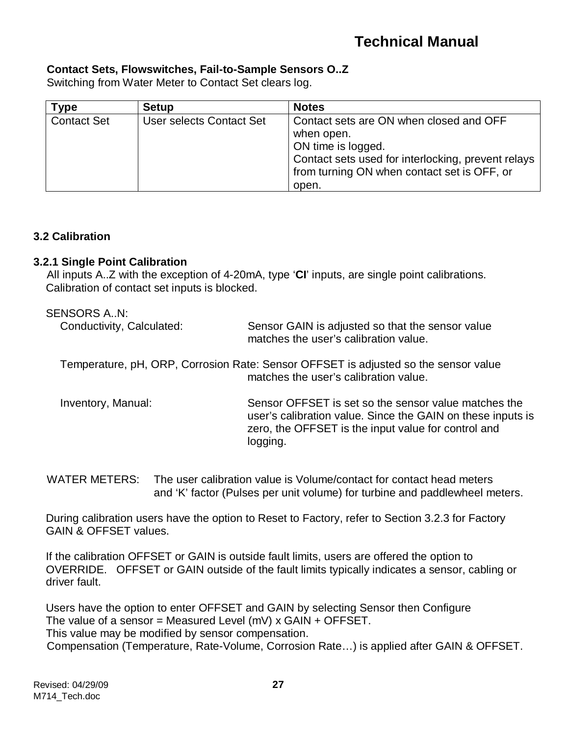#### **Contact Sets, Flowswitches, Fail-to-Sample Sensors O..Z**

Switching from Water Meter to Contact Set clears log.

| ™уре               | <b>Setup</b>             | <b>Notes</b>                                                                                                                                                                                |
|--------------------|--------------------------|---------------------------------------------------------------------------------------------------------------------------------------------------------------------------------------------|
| <b>Contact Set</b> | User selects Contact Set | Contact sets are ON when closed and OFF<br>when open.<br>ON time is logged.<br>Contact sets used for interlocking, prevent relays  <br>from turning ON when contact set is OFF, or<br>open. |

#### **3.2 Calibration**

#### **3.2.1 Single Point Calibration**

All inputs A..Z with the exception of 4-20mA, type '**CI**' inputs, are single point calibrations. Calibration of contact set inputs is blocked.

| SENSORS AN:               |                                                                                                                                                                                        |
|---------------------------|----------------------------------------------------------------------------------------------------------------------------------------------------------------------------------------|
| Conductivity, Calculated: | Sensor GAIN is adjusted so that the sensor value<br>matches the user's calibration value.                                                                                              |
|                           | Temperature, pH, ORP, Corrosion Rate: Sensor OFFSET is adjusted so the sensor value<br>matches the user's calibration value.                                                           |
| Inventory, Manual:        | Sensor OFFSET is set so the sensor value matches the<br>user's calibration value. Since the GAIN on these inputs is<br>zero, the OFFSET is the input value for control and<br>logging. |

WATER METERS: The user calibration value is Volume/contact for contact head meters and 'K' factor (Pulses per unit volume) for turbine and paddlewheel meters.

During calibration users have the option to Reset to Factory, refer to Section 3.2.3 for Factory GAIN & OFFSET values.

If the calibration OFFSET or GAIN is outside fault limits, users are offered the option to OVERRIDE. OFFSET or GAIN outside of the fault limits typically indicates a sensor, cabling or driver fault.

Users have the option to enter OFFSET and GAIN by selecting Sensor then Configure The value of a sensor = Measured Level (mV)  $x$  GAIN + OFFSET. This value may be modified by sensor compensation. Compensation (Temperature, Rate-Volume, Corrosion Rate…) is applied after GAIN & OFFSET.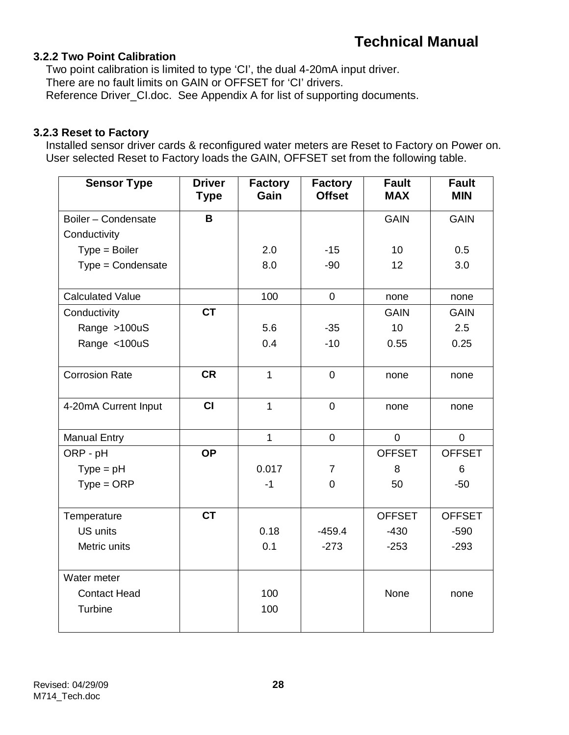#### **3.2.2 Two Point Calibration**

Two point calibration is limited to type 'CI', the dual 4-20mA input driver. There are no fault limits on GAIN or OFFSET for 'CI' drivers. Reference Driver\_CI.doc. See Appendix A for list of supporting documents.

#### **3.2.3 Reset to Factory**

Installed sensor driver cards & reconfigured water meters are Reset to Factory on Power on. User selected Reset to Factory loads the GAIN, OFFSET set from the following table.

| <b>Sensor Type</b>      | <b>Driver</b><br><b>Type</b> | <b>Factory</b><br>Gain | <b>Factory</b><br><b>Offset</b> | <b>Fault</b><br><b>MAX</b> | <b>Fault</b><br><b>MIN</b> |
|-------------------------|------------------------------|------------------------|---------------------------------|----------------------------|----------------------------|
| Boiler - Condensate     | B                            |                        |                                 | <b>GAIN</b>                | <b>GAIN</b>                |
| Conductivity            |                              |                        |                                 |                            |                            |
| $Type = Boiler$         |                              | 2.0                    | $-15$                           | 10                         | 0.5                        |
| Type = Condensate       |                              | 8.0                    | $-90$                           | 12                         | 3.0                        |
| <b>Calculated Value</b> |                              | 100                    | $\mathbf 0$                     | none                       | none                       |
|                         | <b>CT</b>                    |                        |                                 | <b>GAIN</b>                | <b>GAIN</b>                |
| Conductivity            |                              |                        |                                 | 10                         |                            |
| Range >100uS            |                              | 5.6<br>0.4             | $-35$                           |                            | 2.5                        |
| Range <100uS            |                              |                        | $-10$                           | 0.55                       | 0.25                       |
| <b>Corrosion Rate</b>   | <b>CR</b>                    | $\overline{1}$         | $\overline{0}$                  | none                       | none                       |
| 4-20mA Current Input    | CI                           | $\mathbf{1}$           | $\mathbf 0$                     | none                       | none                       |
| <b>Manual Entry</b>     |                              | $\mathbf{1}$           | $\overline{0}$                  | $\overline{0}$             | $\overline{0}$             |
| ORP - pH                | <b>OP</b>                    |                        |                                 | <b>OFFSET</b>              | <b>OFFSET</b>              |
| $Type = pH$             |                              | 0.017                  | $\overline{7}$                  | 8                          | 6                          |
| $Type = ORP$            |                              | $-1$                   | $\overline{0}$                  | 50                         | $-50$                      |
| Temperature             | <b>CT</b>                    |                        |                                 | <b>OFFSET</b>              | <b>OFFSET</b>              |
| <b>US units</b>         |                              | 0.18                   | $-459.4$                        | $-430$                     | $-590$                     |
| Metric units            |                              | 0.1                    | $-273$                          | $-253$                     | $-293$                     |
| Water meter             |                              |                        |                                 |                            |                            |
| <b>Contact Head</b>     |                              | 100                    |                                 | None                       | none                       |
| Turbine                 |                              | 100                    |                                 |                            |                            |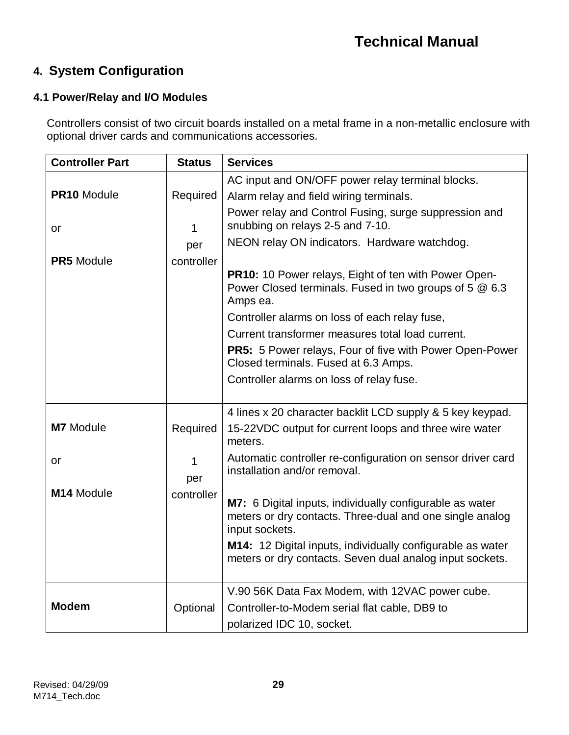## **4. System Configuration**

#### **4.1 Power/Relay and I/O Modules**

Controllers consist of two circuit boards installed on a metal frame in a non-metallic enclosure with optional driver cards and communications accessories.

| <b>Controller Part</b> | <b>Status</b>                                                                                                              | <b>Services</b>                                                                                                                        |  |
|------------------------|----------------------------------------------------------------------------------------------------------------------------|----------------------------------------------------------------------------------------------------------------------------------------|--|
|                        |                                                                                                                            | AC input and ON/OFF power relay terminal blocks.                                                                                       |  |
| PR10 Module            | Required                                                                                                                   | Alarm relay and field wiring terminals.                                                                                                |  |
| or                     | 1                                                                                                                          | Power relay and Control Fusing, surge suppression and<br>snubbing on relays 2-5 and 7-10.                                              |  |
|                        | per                                                                                                                        | NEON relay ON indicators. Hardware watchdog.                                                                                           |  |
| <b>PR5</b> Module      | controller                                                                                                                 |                                                                                                                                        |  |
|                        | PR10: 10 Power relays, Eight of ten with Power Open-<br>Power Closed terminals. Fused in two groups of 5 @ 6.3<br>Amps ea. |                                                                                                                                        |  |
|                        |                                                                                                                            | Controller alarms on loss of each relay fuse,                                                                                          |  |
|                        |                                                                                                                            | Current transformer measures total load current.                                                                                       |  |
|                        |                                                                                                                            | PR5: 5 Power relays, Four of five with Power Open-Power<br>Closed terminals. Fused at 6.3 Amps.                                        |  |
|                        |                                                                                                                            | Controller alarms on loss of relay fuse.                                                                                               |  |
|                        |                                                                                                                            |                                                                                                                                        |  |
|                        |                                                                                                                            | 4 lines x 20 character backlit LCD supply & 5 key keypad.                                                                              |  |
| <b>M7</b> Module       | Required                                                                                                                   | 15-22VDC output for current loops and three wire water<br>meters.                                                                      |  |
| or                     | 1<br>per                                                                                                                   | Automatic controller re-configuration on sensor driver card<br>installation and/or removal.                                            |  |
| M14 Module             | controller                                                                                                                 | M7: 6 Digital inputs, individually configurable as water<br>meters or dry contacts. Three-dual and one single analog<br>input sockets. |  |
|                        |                                                                                                                            | M14: 12 Digital inputs, individually configurable as water<br>meters or dry contacts. Seven dual analog input sockets.                 |  |
|                        |                                                                                                                            | V.90 56K Data Fax Modem, with 12VAC power cube.                                                                                        |  |
| <b>Modem</b>           | Optional                                                                                                                   | Controller-to-Modem serial flat cable, DB9 to                                                                                          |  |
|                        |                                                                                                                            | polarized IDC 10, socket.                                                                                                              |  |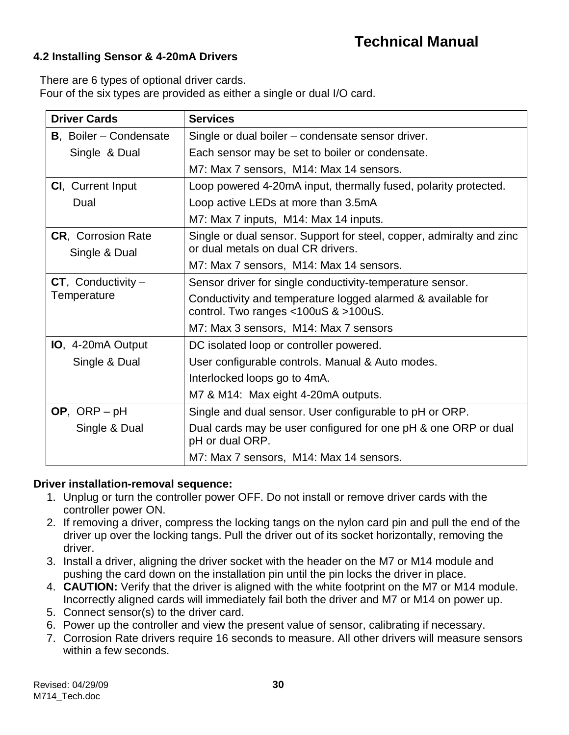#### **4.2 Installing Sensor & 4-20mA Drivers**

There are 6 types of optional driver cards.

Four of the six types are provided as either a single or dual I/O card.

| <b>Driver Cards</b>            | <b>Services</b>                                                                                        |  |  |
|--------------------------------|--------------------------------------------------------------------------------------------------------|--|--|
| <b>B</b> , Boiler – Condensate | Single or dual boiler – condensate sensor driver.                                                      |  |  |
| Single & Dual                  | Each sensor may be set to boiler or condensate.                                                        |  |  |
|                                | M7: Max 7 sensors, M14: Max 14 sensors.                                                                |  |  |
| <b>CI</b> , Current Input      | Loop powered 4-20mA input, thermally fused, polarity protected.                                        |  |  |
| Dual                           | Loop active LEDs at more than 3.5mA                                                                    |  |  |
|                                | M7: Max 7 inputs, M14: Max 14 inputs.                                                                  |  |  |
| <b>CR</b> , Corrosion Rate     | Single or dual sensor. Support for steel, copper, admiralty and zinc                                   |  |  |
| Single & Dual                  | or dual metals on dual CR drivers.                                                                     |  |  |
|                                | M7: Max 7 sensors, M14: Max 14 sensors.                                                                |  |  |
| $CT$ , Conductivity –          | Sensor driver for single conductivity-temperature sensor.                                              |  |  |
| Temperature                    | Conductivity and temperature logged alarmed & available for<br>control. Two ranges $<$ 100uS & >100uS. |  |  |
|                                | M7: Max 3 sensors, M14: Max 7 sensors                                                                  |  |  |
| <b>IO</b> , 4-20mA Output      | DC isolated loop or controller powered.                                                                |  |  |
| Single & Dual                  | User configurable controls. Manual & Auto modes.                                                       |  |  |
|                                | Interlocked loops go to 4mA.                                                                           |  |  |
|                                | M7 & M14: Max eight 4-20mA outputs.                                                                    |  |  |
| OP, ORP $-pH$                  | Single and dual sensor. User configurable to pH or ORP.                                                |  |  |
| Single & Dual                  | Dual cards may be user configured for one pH & one ORP or dual<br>pH or dual ORP.                      |  |  |
|                                | M7: Max 7 sensors, M14: Max 14 sensors.                                                                |  |  |

#### **Driver installation-removal sequence:**

- 1. Unplug or turn the controller power OFF. Do not install or remove driver cards with the controller power ON.
- 2. If removing a driver, compress the locking tangs on the nylon card pin and pull the end of the driver up over the locking tangs. Pull the driver out of its socket horizontally, removing the driver.
- 3. Install a driver, aligning the driver socket with the header on the M7 or M14 module and pushing the card down on the installation pin until the pin locks the driver in place.
- 4. **CAUTION:** Verify that the driver is aligned with the white footprint on the M7 or M14 module. Incorrectly aligned cards will immediately fail both the driver and M7 or M14 on power up.
- 5. Connect sensor(s) to the driver card.
- 6. Power up the controller and view the present value of sensor, calibrating if necessary.
- 7. Corrosion Rate drivers require 16 seconds to measure. All other drivers will measure sensors within a few seconds.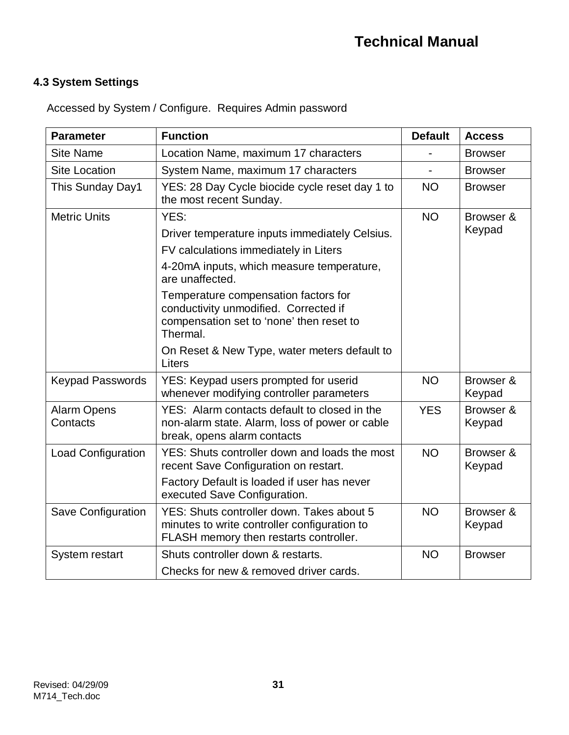### **4.3 System Settings**

| <b>Parameter</b>               | <b>Function</b>                                                                                                                       | <b>Default</b> | <b>Access</b>       |
|--------------------------------|---------------------------------------------------------------------------------------------------------------------------------------|----------------|---------------------|
| <b>Site Name</b>               | Location Name, maximum 17 characters                                                                                                  |                | <b>Browser</b>      |
| <b>Site Location</b>           | System Name, maximum 17 characters                                                                                                    |                | <b>Browser</b>      |
| This Sunday Day1               | YES: 28 Day Cycle biocide cycle reset day 1 to<br>the most recent Sunday.                                                             | <b>NO</b>      | <b>Browser</b>      |
| <b>Metric Units</b>            | YES:                                                                                                                                  | <b>NO</b>      | Browser &           |
|                                | Driver temperature inputs immediately Celsius.                                                                                        |                | Keypad              |
|                                | FV calculations immediately in Liters                                                                                                 |                |                     |
|                                | 4-20mA inputs, which measure temperature,<br>are unaffected.                                                                          |                |                     |
|                                | Temperature compensation factors for<br>conductivity unmodified. Corrected if<br>compensation set to 'none' then reset to<br>Thermal. |                |                     |
|                                | On Reset & New Type, water meters default to<br>Liters                                                                                |                |                     |
| <b>Keypad Passwords</b>        | YES: Keypad users prompted for userid<br>whenever modifying controller parameters                                                     | <b>NO</b>      | Browser &<br>Keypad |
| <b>Alarm Opens</b><br>Contacts | YES: Alarm contacts default to closed in the<br>non-alarm state. Alarm, loss of power or cable<br>break, opens alarm contacts         | <b>YES</b>     | Browser &<br>Keypad |
| <b>Load Configuration</b>      | YES: Shuts controller down and loads the most<br>recent Save Configuration on restart.                                                | <b>NO</b>      | Browser &<br>Keypad |
|                                | Factory Default is loaded if user has never<br>executed Save Configuration.                                                           |                |                     |
| <b>Save Configuration</b>      | YES: Shuts controller down. Takes about 5<br>minutes to write controller configuration to<br>FLASH memory then restarts controller.   | <b>NO</b>      | Browser &<br>Keypad |
| System restart                 | Shuts controller down & restarts.                                                                                                     | <b>NO</b>      | <b>Browser</b>      |
|                                | Checks for new & removed driver cards.                                                                                                |                |                     |

Accessed by System / Configure. Requires Admin password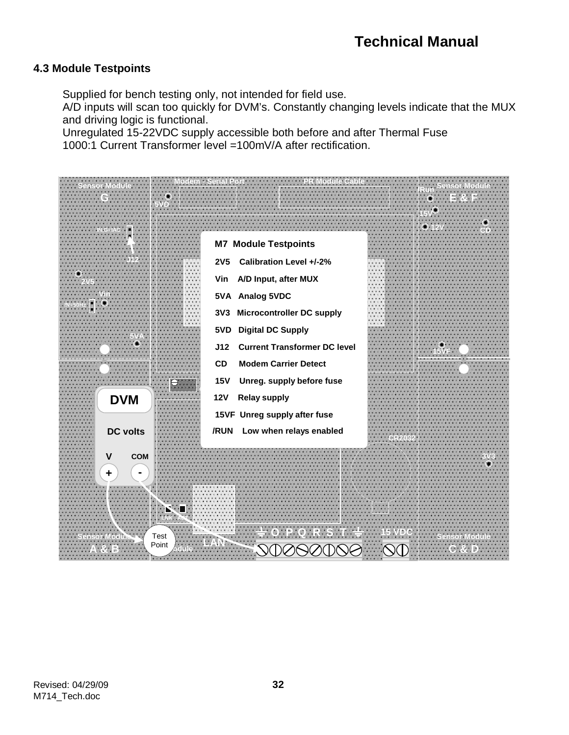#### **4.3 Module Testpoints**

Supplied for bench testing only, not intended for field use.

A/D inputs will scan too quickly for DVM's. Constantly changing levels indicate that the MUX and driving logic is functional.

Unregulated 15-22VDC supply accessible both before and after Thermal Fuse 1000:1 Current Transformer level =100mV/A after rectification.

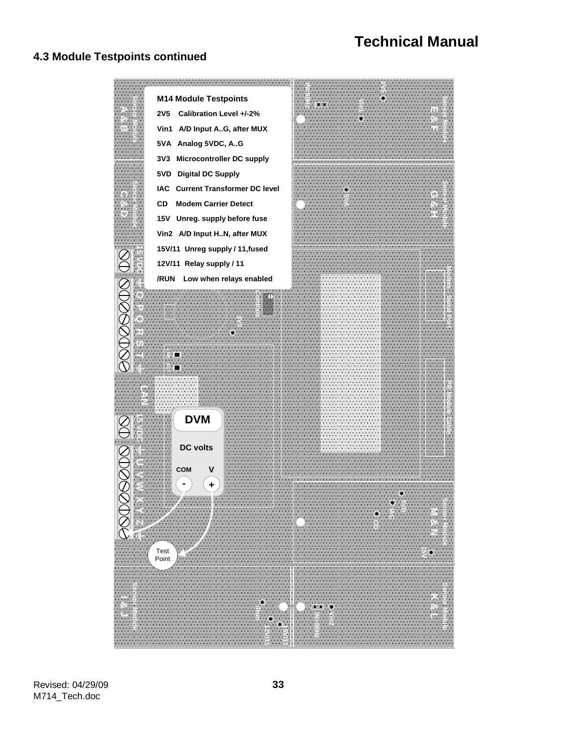#### **4.3 Module Testpoints continued**

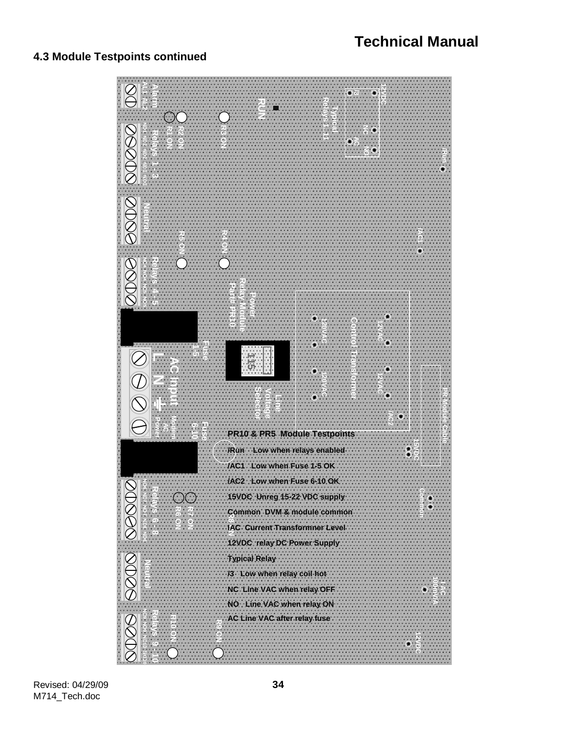#### **4.3 Module Testpoints continued**